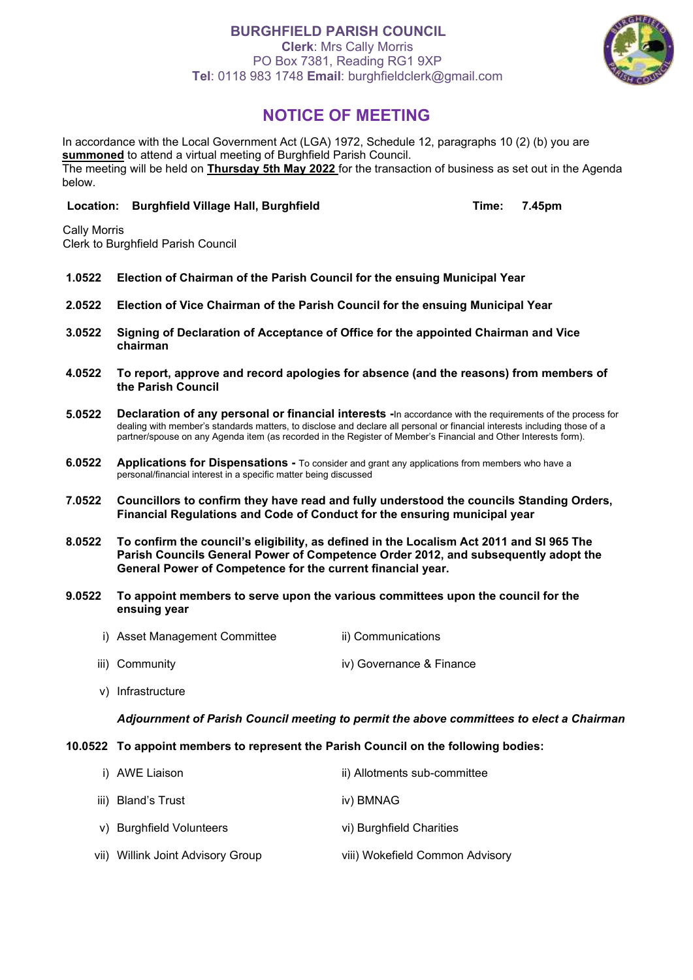# **BURGHFIELD PARISH COUNCIL**

**Clerk**: Mrs Cally Morris PO Box 7381, Reading RG1 9XP **Tel**: 0118 983 1748 **Email**: burghfieldclerk@gmail.com



# **NOTICE OF MEETING**

In accordance with the Local Government Act (LGA) 1972, Schedule 12, paragraphs 10 (2) (b) you are **summoned** to attend a virtual meeting of Burghfield Parish Council. The meeting will be held on **Thursday 5th May 2022** for the transaction of business as set out in the Agenda below.

## **Location: Burghfield Village Hall, Burghfield Time: 7.45pm**

Cally Morris Clerk to Burghfield Parish Council

- **1.0522 Election of Chairman of the Parish Council for the ensuing Municipal Year**
- **2.0522 Election of Vice Chairman of the Parish Council for the ensuing Municipal Year**
- **3.0522 Signing of Declaration of Acceptance of Office for the appointed Chairman and Vice chairman**
- **4.0522 To report, approve and record apologies for absence (and the reasons) from members of the Parish Council**
- **5.0522 Declaration of any personal or financial interests -**In accordance with the requirements of the process for dealing with member's standards matters, to disclose and declare all personal or financial interests including those of a partner/spouse on any Agenda item (as recorded in the Register of Member's Financial and Other Interests form).
- **6.0522 Applications for Dispensations -** To consider and grant any applications from members who have a personal/financial interest in a specific matter being discussed
- **7.0522 Councillors to confirm they have read and fully understood the councils Standing Orders, Financial Regulations and Code of Conduct for the ensuring municipal year**
- **8.0522 To confirm the council's eligibility, as defined in the Localism Act 2011 and SI 965 The Parish Councils General Power of Competence Order 2012, and subsequently adopt the General Power of Competence for the current financial year.**
- **9.0522 To appoint members to serve upon the various committees upon the council for the ensuing year**
	- i) Asset Management Committee iii) Communications
	- iii) Community iv) Governance & Finance
	- v) Infrastructure

#### *Adjournment of Parish Council meeting to permit the above committees to elect a Chairman*

### **10.0522 To appoint members to represent the Parish Council on the following bodies:**

| i) AWE Liaison                    | ii) Allotments sub-committee    |
|-----------------------------------|---------------------------------|
| iii) Bland's Trust                | iv) BMNAG                       |
| v) Burghfield Volunteers          | vi) Burghfield Charities        |
| vii) Willink Joint Advisory Group | viii) Wokefield Common Advisory |